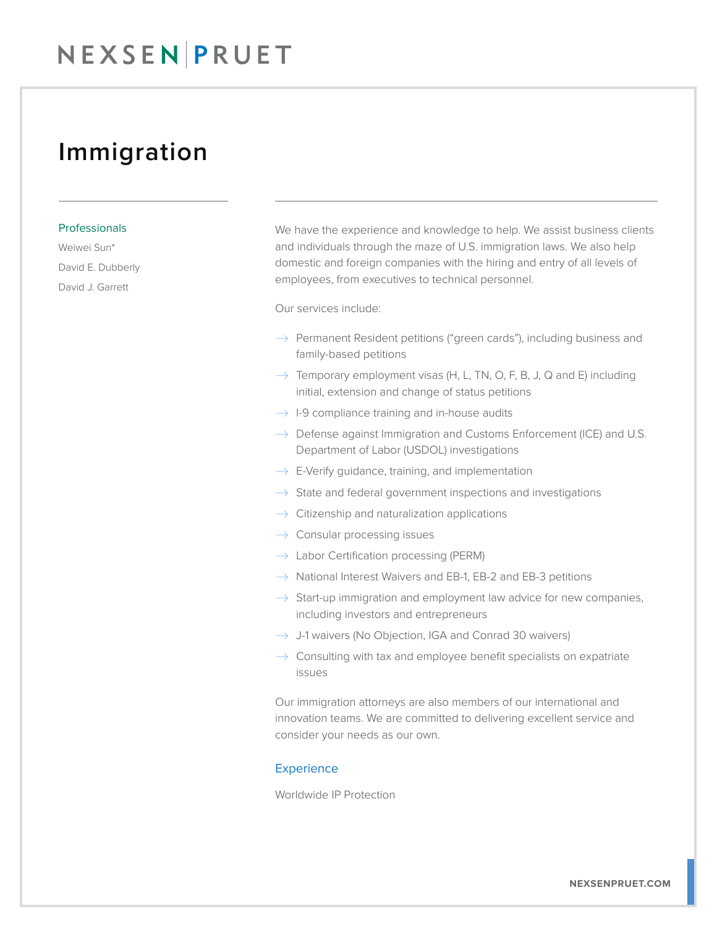## Immigration

#### Professionals

Weiwei Sun\* David E. Dubberly David J. Garrett

We have the experience and knowledge to help. We assist business clients and individuals through the maze of U.S. immigration laws. We also help domestic and foreign companies with the hiring and entry of all levels of employees, from executives to technical personnel.

Our services include:

- $\rightarrow$  Permanent Resident petitions ("green cards"), including business and family-based petitions
- $\rightarrow$  Temporary employment visas (H, L, TN, O, F, B, J, Q and E) including initial, extension and change of status petitions
- $\rightarrow$  1-9 compliance training and in-house audits
- $\rightarrow$  Defense against Immigration and Customs Enforcement (ICE) and U.S. Department of Labor (USDOL) investigations
- $\rightarrow$  E-Verify quidance, training, and implementation
- $\rightarrow$  State and federal government inspections and investigations
- $\rightarrow$  Citizenship and naturalization applications
- $\rightarrow$  Consular processing issues
- $\rightarrow$  Labor Certification processing (PERM)
- $\rightarrow$  National Interest Waivers and EB-1, EB-2 and EB-3 petitions
- $\rightarrow$  Start-up immigration and employment law advice for new companies, including investors and entrepreneurs
- $\rightarrow$  J-1 waivers (No Objection, IGA and Conrad 30 waivers)
- $\rightarrow$  Consulting with tax and employee benefit specialists on expatriate issues

Our immigration attorneys are also members of our international and innovation teams. We are committed to delivering excellent service and consider your needs as our own.

#### **Experience**

Worldwide IP Protection